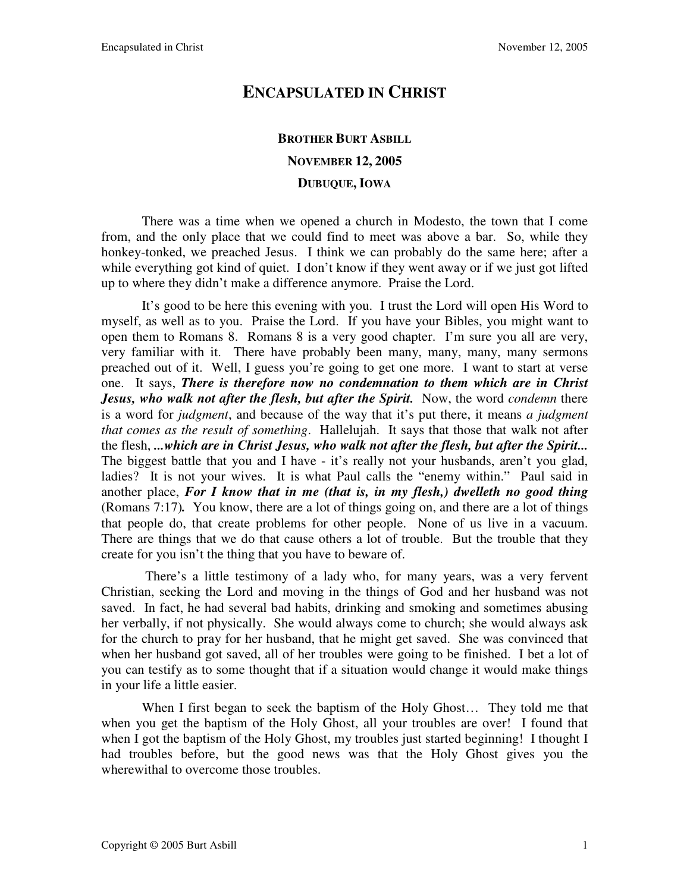## **ENCAPSULATED IN CHRIST**

## **BROTHER BURT ASBILL NOVEMBER 12, 2005 DUBUQUE, IOWA**

There was a time when we opened a church in Modesto, the town that I come from, and the only place that we could find to meet was above a bar. So, while they honkey-tonked, we preached Jesus. I think we can probably do the same here; after a while everything got kind of quiet. I don't know if they went away or if we just got lifted up to where they didn't make a difference anymore. Praise the Lord.

It's good to be here this evening with you. I trust the Lord will open His Word to myself, as well as to you. Praise the Lord. If you have your Bibles, you might want to open them to Romans 8. Romans 8 is a very good chapter. I'm sure you all are very, very familiar with it. There have probably been many, many, many, many sermons preached out of it. Well, I guess you're going to get one more. I want to start at verse one. It says, *There is therefore now no condemnation to them which are in Christ Jesus, who walk not after the flesh, but after the Spirit.* Now, the word *condemn* there is a word for *judgment*, and because of the way that it's put there, it means *a judgment that comes as the result of something*. Hallelujah. It says that those that walk not after the flesh, *...which are in Christ Jesus, who walk not after the flesh, but after the Spirit...* The biggest battle that you and I have - it's really not your husbands, aren't you glad, ladies? It is not your wives. It is what Paul calls the "enemy within." Paul said in another place, *For I know that in me (that is, in my flesh,) dwelleth no good thing*  (Romans 7:17)*.* You know, there are a lot of things going on, and there are a lot of things that people do, that create problems for other people. None of us live in a vacuum. There are things that we do that cause others a lot of trouble. But the trouble that they create for you isn't the thing that you have to beware of.

 There's a little testimony of a lady who, for many years, was a very fervent Christian, seeking the Lord and moving in the things of God and her husband was not saved. In fact, he had several bad habits, drinking and smoking and sometimes abusing her verbally, if not physically. She would always come to church; she would always ask for the church to pray for her husband, that he might get saved. She was convinced that when her husband got saved, all of her troubles were going to be finished. I bet a lot of you can testify as to some thought that if a situation would change it would make things in your life a little easier.

When I first began to seek the baptism of the Holy Ghost... They told me that when you get the baptism of the Holy Ghost, all your troubles are over! I found that when I got the baptism of the Holy Ghost, my troubles just started beginning! I thought I had troubles before, but the good news was that the Holy Ghost gives you the wherewithal to overcome those troubles.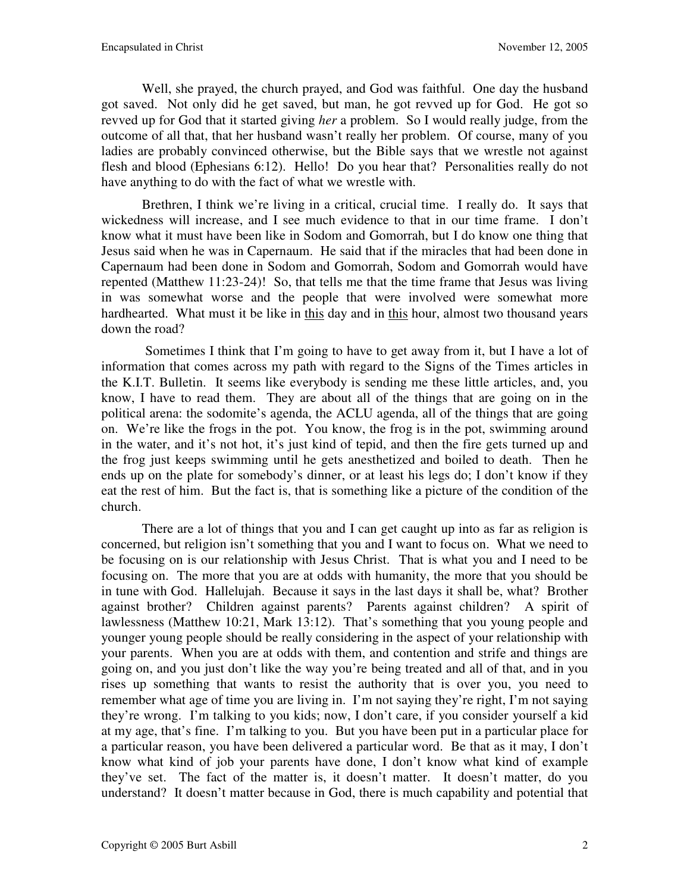Well, she prayed, the church prayed, and God was faithful. One day the husband got saved. Not only did he get saved, but man, he got revved up for God. He got so revved up for God that it started giving *her* a problem. So I would really judge, from the outcome of all that, that her husband wasn't really her problem. Of course, many of you ladies are probably convinced otherwise, but the Bible says that we wrestle not against flesh and blood (Ephesians 6:12). Hello! Do you hear that? Personalities really do not have anything to do with the fact of what we wrestle with.

Brethren, I think we're living in a critical, crucial time. I really do. It says that wickedness will increase, and I see much evidence to that in our time frame. I don't know what it must have been like in Sodom and Gomorrah, but I do know one thing that Jesus said when he was in Capernaum. He said that if the miracles that had been done in Capernaum had been done in Sodom and Gomorrah, Sodom and Gomorrah would have repented (Matthew 11:23-24)! So, that tells me that the time frame that Jesus was living in was somewhat worse and the people that were involved were somewhat more hardhearted. What must it be like in this day and in this hour, almost two thousand years down the road?

 Sometimes I think that I'm going to have to get away from it, but I have a lot of information that comes across my path with regard to the Signs of the Times articles in the K.I.T. Bulletin. It seems like everybody is sending me these little articles, and, you know, I have to read them. They are about all of the things that are going on in the political arena: the sodomite's agenda, the ACLU agenda, all of the things that are going on. We're like the frogs in the pot. You know, the frog is in the pot, swimming around in the water, and it's not hot, it's just kind of tepid, and then the fire gets turned up and the frog just keeps swimming until he gets anesthetized and boiled to death. Then he ends up on the plate for somebody's dinner, or at least his legs do; I don't know if they eat the rest of him. But the fact is, that is something like a picture of the condition of the church.

There are a lot of things that you and I can get caught up into as far as religion is concerned, but religion isn't something that you and I want to focus on. What we need to be focusing on is our relationship with Jesus Christ. That is what you and I need to be focusing on. The more that you are at odds with humanity, the more that you should be in tune with God. Hallelujah. Because it says in the last days it shall be, what? Brother against brother? Children against parents? Parents against children? A spirit of lawlessness (Matthew 10:21, Mark 13:12). That's something that you young people and younger young people should be really considering in the aspect of your relationship with your parents. When you are at odds with them, and contention and strife and things are going on, and you just don't like the way you're being treated and all of that, and in you rises up something that wants to resist the authority that is over you, you need to remember what age of time you are living in. I'm not saying they're right, I'm not saying they're wrong. I'm talking to you kids; now, I don't care, if you consider yourself a kid at my age, that's fine. I'm talking to you. But you have been put in a particular place for a particular reason, you have been delivered a particular word. Be that as it may, I don't know what kind of job your parents have done, I don't know what kind of example they've set. The fact of the matter is, it doesn't matter. It doesn't matter, do you understand? It doesn't matter because in God, there is much capability and potential that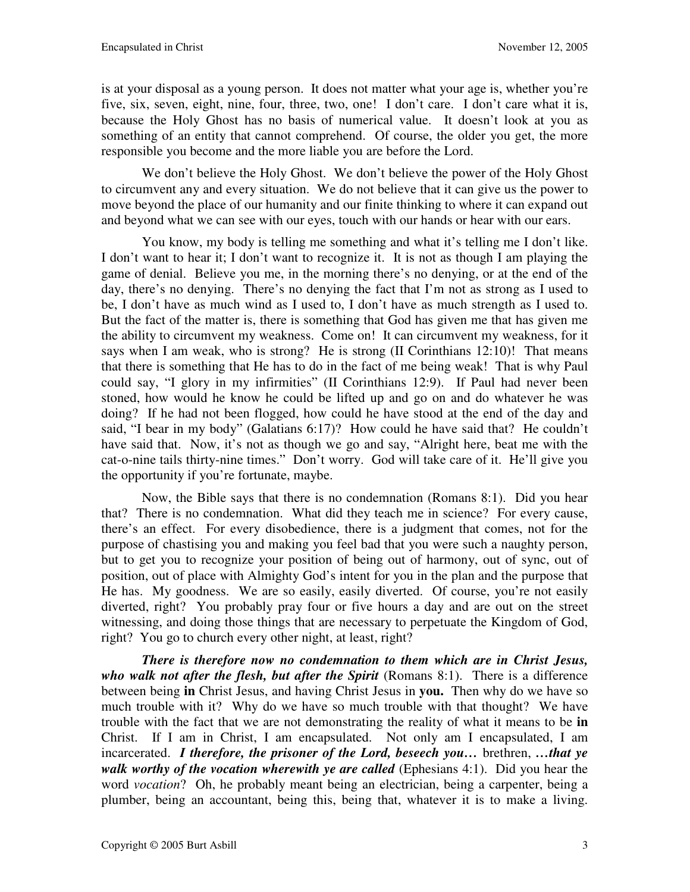is at your disposal as a young person. It does not matter what your age is, whether you're five, six, seven, eight, nine, four, three, two, one! I don't care. I don't care what it is, because the Holy Ghost has no basis of numerical value. It doesn't look at you as something of an entity that cannot comprehend. Of course, the older you get, the more responsible you become and the more liable you are before the Lord.

We don't believe the Holy Ghost. We don't believe the power of the Holy Ghost to circumvent any and every situation. We do not believe that it can give us the power to move beyond the place of our humanity and our finite thinking to where it can expand out and beyond what we can see with our eyes, touch with our hands or hear with our ears.

You know, my body is telling me something and what it's telling me I don't like. I don't want to hear it; I don't want to recognize it. It is not as though I am playing the game of denial. Believe you me, in the morning there's no denying, or at the end of the day, there's no denying. There's no denying the fact that I'm not as strong as I used to be, I don't have as much wind as I used to, I don't have as much strength as I used to. But the fact of the matter is, there is something that God has given me that has given me the ability to circumvent my weakness. Come on! It can circumvent my weakness, for it says when I am weak, who is strong? He is strong (II Corinthians 12:10)! That means that there is something that He has to do in the fact of me being weak! That is why Paul could say, "I glory in my infirmities" (II Corinthians 12:9). If Paul had never been stoned, how would he know he could be lifted up and go on and do whatever he was doing? If he had not been flogged, how could he have stood at the end of the day and said, "I bear in my body" (Galatians 6:17)? How could he have said that? He couldn't have said that. Now, it's not as though we go and say, "Alright here, beat me with the cat-o-nine tails thirty-nine times." Don't worry. God will take care of it. He'll give you the opportunity if you're fortunate, maybe.

Now, the Bible says that there is no condemnation (Romans 8:1). Did you hear that? There is no condemnation. What did they teach me in science? For every cause, there's an effect. For every disobedience, there is a judgment that comes, not for the purpose of chastising you and making you feel bad that you were such a naughty person, but to get you to recognize your position of being out of harmony, out of sync, out of position, out of place with Almighty God's intent for you in the plan and the purpose that He has. My goodness. We are so easily, easily diverted. Of course, you're not easily diverted, right? You probably pray four or five hours a day and are out on the street witnessing, and doing those things that are necessary to perpetuate the Kingdom of God, right? You go to church every other night, at least, right?

*There is therefore now no condemnation to them which are in Christ Jesus,*  who walk not after the flesh, but after the Spirit (Romans 8:1). There is a difference between being **in** Christ Jesus, and having Christ Jesus in **you.** Then why do we have so much trouble with it? Why do we have so much trouble with that thought? We have trouble with the fact that we are not demonstrating the reality of what it means to be **in** Christ. If I am in Christ, I am encapsulated. Not only am I encapsulated, I am incarcerated. *I therefore, the prisoner of the Lord, beseech you…* brethren, *…that ye walk worthy of the vocation wherewith ye are called* (Ephesians 4:1). Did you hear the word *vocation*? Oh, he probably meant being an electrician, being a carpenter, being a plumber, being an accountant, being this, being that, whatever it is to make a living.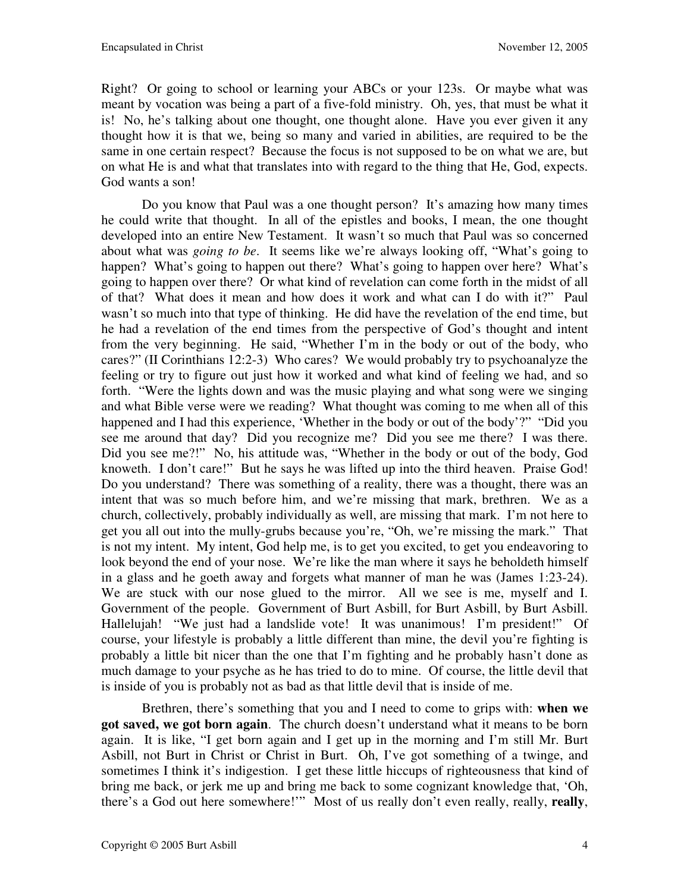Right? Or going to school or learning your ABCs or your 123s. Or maybe what was meant by vocation was being a part of a five-fold ministry. Oh, yes, that must be what it is! No, he's talking about one thought, one thought alone. Have you ever given it any thought how it is that we, being so many and varied in abilities, are required to be the same in one certain respect? Because the focus is not supposed to be on what we are, but on what He is and what that translates into with regard to the thing that He, God, expects. God wants a son!

Do you know that Paul was a one thought person? It's amazing how many times he could write that thought. In all of the epistles and books, I mean, the one thought developed into an entire New Testament. It wasn't so much that Paul was so concerned about what was *going to be*. It seems like we're always looking off, "What's going to happen? What's going to happen out there? What's going to happen over here? What's going to happen over there? Or what kind of revelation can come forth in the midst of all of that? What does it mean and how does it work and what can I do with it?" Paul wasn't so much into that type of thinking. He did have the revelation of the end time, but he had a revelation of the end times from the perspective of God's thought and intent from the very beginning. He said, "Whether I'm in the body or out of the body, who cares?" (II Corinthians 12:2-3) Who cares? We would probably try to psychoanalyze the feeling or try to figure out just how it worked and what kind of feeling we had, and so forth. "Were the lights down and was the music playing and what song were we singing and what Bible verse were we reading? What thought was coming to me when all of this happened and I had this experience, 'Whether in the body or out of the body'?" "Did you see me around that day? Did you recognize me? Did you see me there? I was there. Did you see me?!" No, his attitude was, "Whether in the body or out of the body, God knoweth. I don't care!" But he says he was lifted up into the third heaven. Praise God! Do you understand? There was something of a reality, there was a thought, there was an intent that was so much before him, and we're missing that mark, brethren. We as a church, collectively, probably individually as well, are missing that mark. I'm not here to get you all out into the mully-grubs because you're, "Oh, we're missing the mark." That is not my intent. My intent, God help me, is to get you excited, to get you endeavoring to look beyond the end of your nose. We're like the man where it says he beholdeth himself in a glass and he goeth away and forgets what manner of man he was (James 1:23-24). We are stuck with our nose glued to the mirror. All we see is me, myself and I. Government of the people. Government of Burt Asbill, for Burt Asbill, by Burt Asbill. Hallelujah! "We just had a landslide vote! It was unanimous! I'm president!" Of course, your lifestyle is probably a little different than mine, the devil you're fighting is probably a little bit nicer than the one that I'm fighting and he probably hasn't done as much damage to your psyche as he has tried to do to mine. Of course, the little devil that is inside of you is probably not as bad as that little devil that is inside of me.

Brethren, there's something that you and I need to come to grips with: **when we got saved, we got born again**. The church doesn't understand what it means to be born again. It is like, "I get born again and I get up in the morning and I'm still Mr. Burt Asbill, not Burt in Christ or Christ in Burt. Oh, I've got something of a twinge, and sometimes I think it's indigestion. I get these little hiccups of righteousness that kind of bring me back, or jerk me up and bring me back to some cognizant knowledge that, 'Oh, there's a God out here somewhere!'" Most of us really don't even really, really, **really**,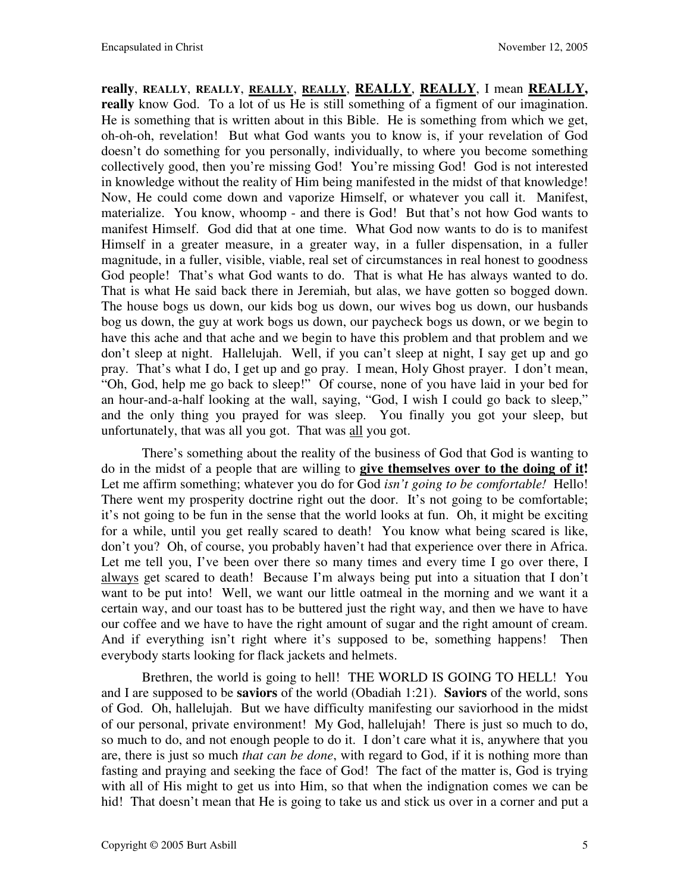**really**, **REALLY**, **REALLY**, **REALLY**, **REALLY**, **REALLY**, **REALLY**, I mean **REALLY, really** know God. To a lot of us He is still something of a figment of our imagination. He is something that is written about in this Bible. He is something from which we get, oh-oh-oh, revelation! But what God wants you to know is, if your revelation of God doesn't do something for you personally, individually, to where you become something collectively good, then you're missing God! You're missing God! God is not interested in knowledge without the reality of Him being manifested in the midst of that knowledge! Now, He could come down and vaporize Himself, or whatever you call it. Manifest, materialize. You know, whoomp - and there is God! But that's not how God wants to manifest Himself. God did that at one time. What God now wants to do is to manifest Himself in a greater measure, in a greater way, in a fuller dispensation, in a fuller magnitude, in a fuller, visible, viable, real set of circumstances in real honest to goodness God people! That's what God wants to do. That is what He has always wanted to do. That is what He said back there in Jeremiah, but alas, we have gotten so bogged down. The house bogs us down, our kids bog us down, our wives bog us down, our husbands bog us down, the guy at work bogs us down, our paycheck bogs us down, or we begin to have this ache and that ache and we begin to have this problem and that problem and we don't sleep at night. Hallelujah. Well, if you can't sleep at night, I say get up and go pray. That's what I do, I get up and go pray. I mean, Holy Ghost prayer. I don't mean, "Oh, God, help me go back to sleep!" Of course, none of you have laid in your bed for an hour-and-a-half looking at the wall, saying, "God, I wish I could go back to sleep," and the only thing you prayed for was sleep. You finally you got your sleep, but unfortunately, that was all you got. That was all you got.

There's something about the reality of the business of God that God is wanting to do in the midst of a people that are willing to **give themselves over to the doing of it!** Let me affirm something; whatever you do for God *isn't going to be comfortable!* Hello! There went my prosperity doctrine right out the door. It's not going to be comfortable; it's not going to be fun in the sense that the world looks at fun. Oh, it might be exciting for a while, until you get really scared to death! You know what being scared is like, don't you? Oh, of course, you probably haven't had that experience over there in Africa. Let me tell you, I've been over there so many times and every time I go over there, I always get scared to death! Because I'm always being put into a situation that I don't want to be put into! Well, we want our little oatmeal in the morning and we want it a certain way, and our toast has to be buttered just the right way, and then we have to have our coffee and we have to have the right amount of sugar and the right amount of cream. And if everything isn't right where it's supposed to be, something happens! Then everybody starts looking for flack jackets and helmets.

Brethren, the world is going to hell! THE WORLD IS GOING TO HELL! You and I are supposed to be **saviors** of the world (Obadiah 1:21). **Saviors** of the world, sons of God. Oh, hallelujah. But we have difficulty manifesting our saviorhood in the midst of our personal, private environment! My God, hallelujah! There is just so much to do, so much to do, and not enough people to do it. I don't care what it is, anywhere that you are, there is just so much *that can be done*, with regard to God, if it is nothing more than fasting and praying and seeking the face of God! The fact of the matter is, God is trying with all of His might to get us into Him, so that when the indignation comes we can be hid! That doesn't mean that He is going to take us and stick us over in a corner and put a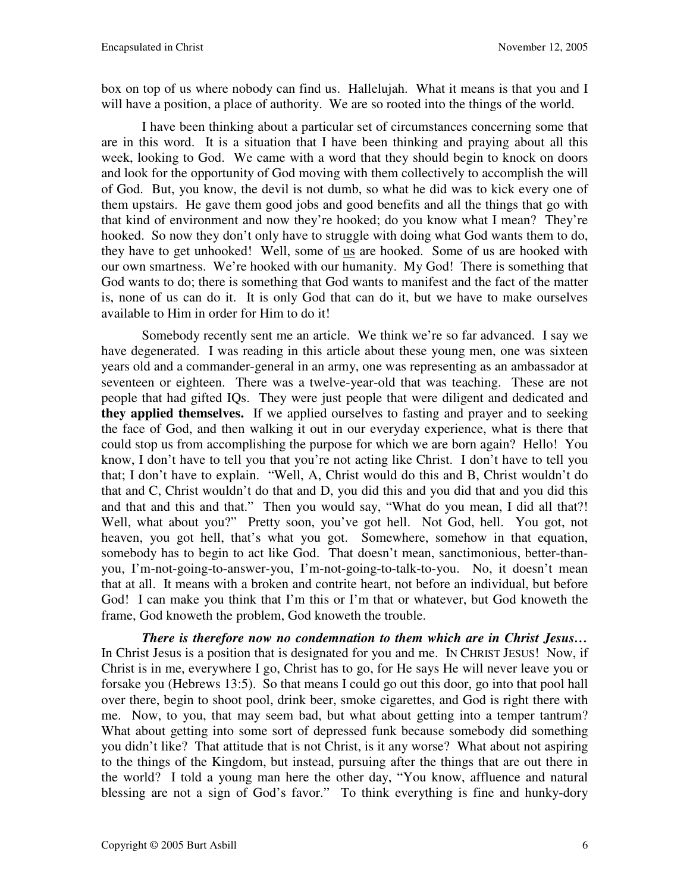box on top of us where nobody can find us. Hallelujah. What it means is that you and I will have a position, a place of authority. We are so rooted into the things of the world.

I have been thinking about a particular set of circumstances concerning some that are in this word. It is a situation that I have been thinking and praying about all this week, looking to God. We came with a word that they should begin to knock on doors and look for the opportunity of God moving with them collectively to accomplish the will of God. But, you know, the devil is not dumb, so what he did was to kick every one of them upstairs. He gave them good jobs and good benefits and all the things that go with that kind of environment and now they're hooked; do you know what I mean? They're hooked. So now they don't only have to struggle with doing what God wants them to do, they have to get unhooked! Well, some of us are hooked. Some of us are hooked with our own smartness. We're hooked with our humanity. My God! There is something that God wants to do; there is something that God wants to manifest and the fact of the matter is, none of us can do it. It is only God that can do it, but we have to make ourselves available to Him in order for Him to do it!

Somebody recently sent me an article. We think we're so far advanced. I say we have degenerated. I was reading in this article about these young men, one was sixteen years old and a commander-general in an army, one was representing as an ambassador at seventeen or eighteen. There was a twelve-year-old that was teaching. These are not people that had gifted IQs. They were just people that were diligent and dedicated and **they applied themselves.**If we applied ourselves to fasting and prayer and to seeking the face of God, and then walking it out in our everyday experience, what is there that could stop us from accomplishing the purpose for which we are born again? Hello! You know, I don't have to tell you that you're not acting like Christ. I don't have to tell you that; I don't have to explain. "Well, A, Christ would do this and B, Christ wouldn't do that and C, Christ wouldn't do that and D, you did this and you did that and you did this and that and this and that." Then you would say, "What do you mean, I did all that?! Well, what about you?" Pretty soon, you've got hell. Not God, hell. You got, not heaven, you got hell, that's what you got. Somewhere, somehow in that equation, somebody has to begin to act like God. That doesn't mean, sanctimonious, better-thanyou, I'm-not-going-to-answer-you, I'm-not-going-to-talk-to-you. No, it doesn't mean that at all. It means with a broken and contrite heart, not before an individual, but before God! I can make you think that I'm this or I'm that or whatever, but God knoweth the frame, God knoweth the problem, God knoweth the trouble.

*There is therefore now no condemnation to them which are in Christ Jesus…* In Christ Jesus is a position that is designated for you and me. In CHRIST JESUS! Now, if Christ is in me, everywhere I go, Christ has to go, for He says He will never leave you or forsake you (Hebrews 13:5). So that means I could go out this door, go into that pool hall over there, begin to shoot pool, drink beer, smoke cigarettes, and God is right there with me. Now, to you, that may seem bad, but what about getting into a temper tantrum? What about getting into some sort of depressed funk because somebody did something you didn't like? That attitude that is not Christ, is it any worse? What about not aspiring to the things of the Kingdom, but instead, pursuing after the things that are out there in the world? I told a young man here the other day, "You know, affluence and natural blessing are not a sign of God's favor." To think everything is fine and hunky-dory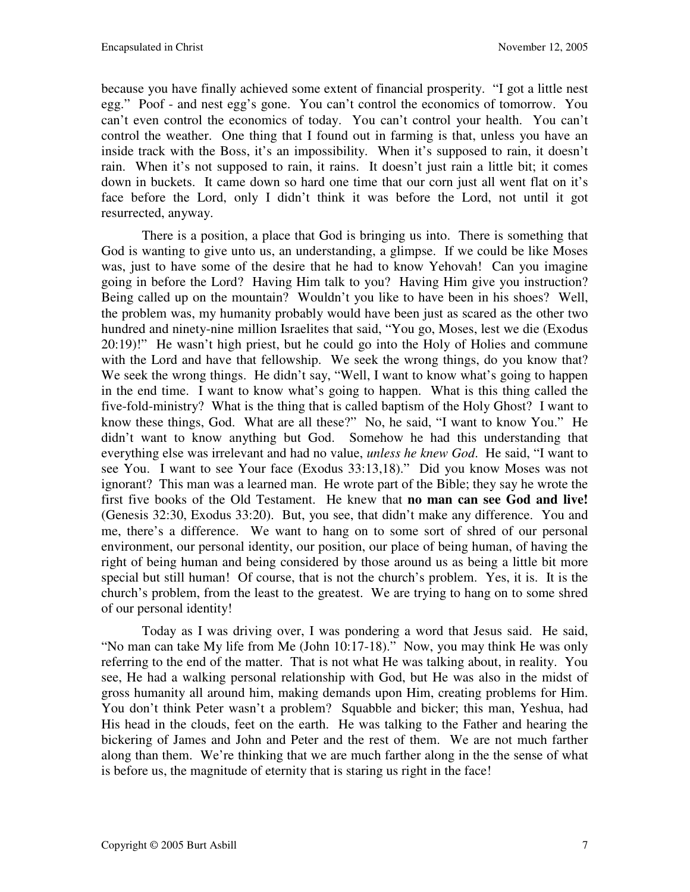because you have finally achieved some extent of financial prosperity. "I got a little nest egg." Poof - and nest egg's gone. You can't control the economics of tomorrow. You can't even control the economics of today. You can't control your health. You can't control the weather. One thing that I found out in farming is that, unless you have an inside track with the Boss, it's an impossibility. When it's supposed to rain, it doesn't rain. When it's not supposed to rain, it rains. It doesn't just rain a little bit; it comes down in buckets. It came down so hard one time that our corn just all went flat on it's face before the Lord, only I didn't think it was before the Lord, not until it got resurrected, anyway.

There is a position, a place that God is bringing us into. There is something that God is wanting to give unto us, an understanding, a glimpse. If we could be like Moses was, just to have some of the desire that he had to know Yehovah! Can you imagine going in before the Lord? Having Him talk to you? Having Him give you instruction? Being called up on the mountain? Wouldn't you like to have been in his shoes? Well, the problem was, my humanity probably would have been just as scared as the other two hundred and ninety-nine million Israelites that said, "You go, Moses, lest we die (Exodus 20:19)!" He wasn't high priest, but he could go into the Holy of Holies and commune with the Lord and have that fellowship. We seek the wrong things, do you know that? We seek the wrong things. He didn't say, "Well, I want to know what's going to happen in the end time. I want to know what's going to happen. What is this thing called the five-fold-ministry? What is the thing that is called baptism of the Holy Ghost? I want to know these things, God. What are all these?" No, he said, "I want to know You." He didn't want to know anything but God. Somehow he had this understanding that everything else was irrelevant and had no value, *unless he knew God*. He said, "I want to see You. I want to see Your face (Exodus 33:13,18)." Did you know Moses was not ignorant? This man was a learned man. He wrote part of the Bible; they say he wrote the first five books of the Old Testament. He knew that **no man can see God and live!** (Genesis 32:30, Exodus 33:20). But, you see, that didn't make any difference. You and me, there's a difference. We want to hang on to some sort of shred of our personal environment, our personal identity, our position, our place of being human, of having the right of being human and being considered by those around us as being a little bit more special but still human! Of course, that is not the church's problem. Yes, it is. It is the church's problem, from the least to the greatest. We are trying to hang on to some shred of our personal identity!

Today as I was driving over, I was pondering a word that Jesus said. He said, "No man can take My life from Me (John 10:17-18)." Now, you may think He was only referring to the end of the matter. That is not what He was talking about, in reality. You see, He had a walking personal relationship with God, but He was also in the midst of gross humanity all around him, making demands upon Him, creating problems for Him. You don't think Peter wasn't a problem? Squabble and bicker; this man, Yeshua, had His head in the clouds, feet on the earth. He was talking to the Father and hearing the bickering of James and John and Peter and the rest of them. We are not much farther along than them. We're thinking that we are much farther along in the the sense of what is before us, the magnitude of eternity that is staring us right in the face!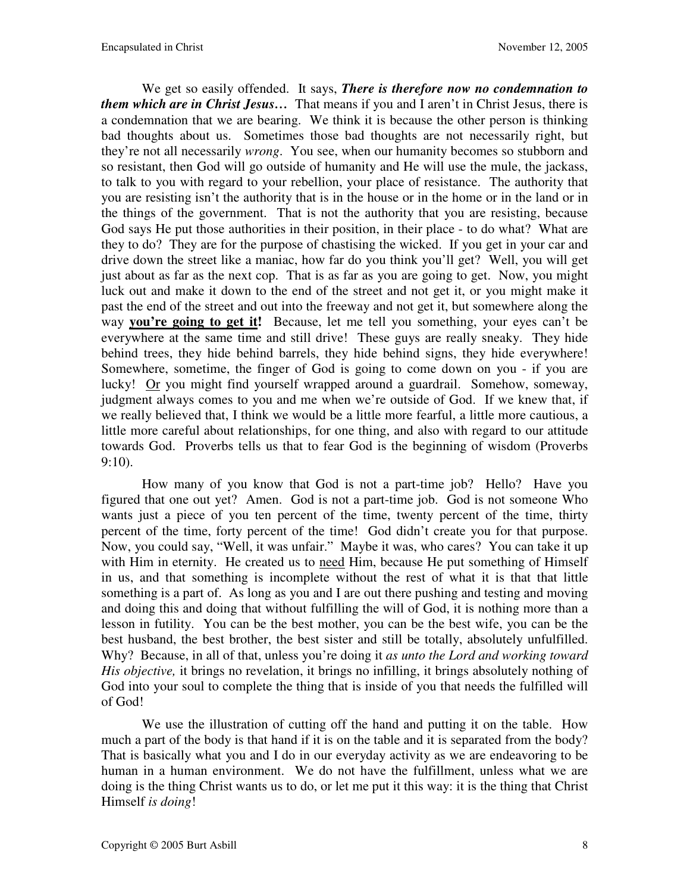We get so easily offended. It says, *There is therefore now no condemnation to them which are in Christ Jesus…* That means if you and I aren't in Christ Jesus, there is a condemnation that we are bearing. We think it is because the other person is thinking bad thoughts about us. Sometimes those bad thoughts are not necessarily right, but they're not all necessarily *wrong*. You see, when our humanity becomes so stubborn and so resistant, then God will go outside of humanity and He will use the mule, the jackass, to talk to you with regard to your rebellion, your place of resistance. The authority that you are resisting isn't the authority that is in the house or in the home or in the land or in the things of the government. That is not the authority that you are resisting, because God says He put those authorities in their position, in their place - to do what? What are they to do? They are for the purpose of chastising the wicked. If you get in your car and drive down the street like a maniac, how far do you think you'll get? Well, you will get just about as far as the next cop. That is as far as you are going to get. Now, you might luck out and make it down to the end of the street and not get it, or you might make it past the end of the street and out into the freeway and not get it, but somewhere along the way **you're going to get it!** Because, let me tell you something, your eyes can't be everywhere at the same time and still drive! These guys are really sneaky. They hide behind trees, they hide behind barrels, they hide behind signs, they hide everywhere! Somewhere, sometime, the finger of God is going to come down on you - if you are lucky! Or you might find yourself wrapped around a guardrail. Somehow, someway, judgment always comes to you and me when we're outside of God. If we knew that, if we really believed that, I think we would be a little more fearful, a little more cautious, a little more careful about relationships, for one thing, and also with regard to our attitude towards God. Proverbs tells us that to fear God is the beginning of wisdom (Proverbs 9:10).

How many of you know that God is not a part-time job? Hello? Have you figured that one out yet? Amen. God is not a part-time job. God is not someone Who wants just a piece of you ten percent of the time, twenty percent of the time, thirty percent of the time, forty percent of the time! God didn't create you for that purpose. Now, you could say, "Well, it was unfair." Maybe it was, who cares? You can take it up with Him in eternity. He created us to need Him, because He put something of Himself in us, and that something is incomplete without the rest of what it is that that little something is a part of. As long as you and I are out there pushing and testing and moving and doing this and doing that without fulfilling the will of God, it is nothing more than a lesson in futility. You can be the best mother, you can be the best wife, you can be the best husband, the best brother, the best sister and still be totally, absolutely unfulfilled. Why? Because, in all of that, unless you're doing it *as unto the Lord and working toward His objective,* it brings no revelation, it brings no infilling, it brings absolutely nothing of God into your soul to complete the thing that is inside of you that needs the fulfilled will of God!

We use the illustration of cutting off the hand and putting it on the table. How much a part of the body is that hand if it is on the table and it is separated from the body? That is basically what you and I do in our everyday activity as we are endeavoring to be human in a human environment. We do not have the fulfillment, unless what we are doing is the thing Christ wants us to do, or let me put it this way: it is the thing that Christ Himself *is doing*!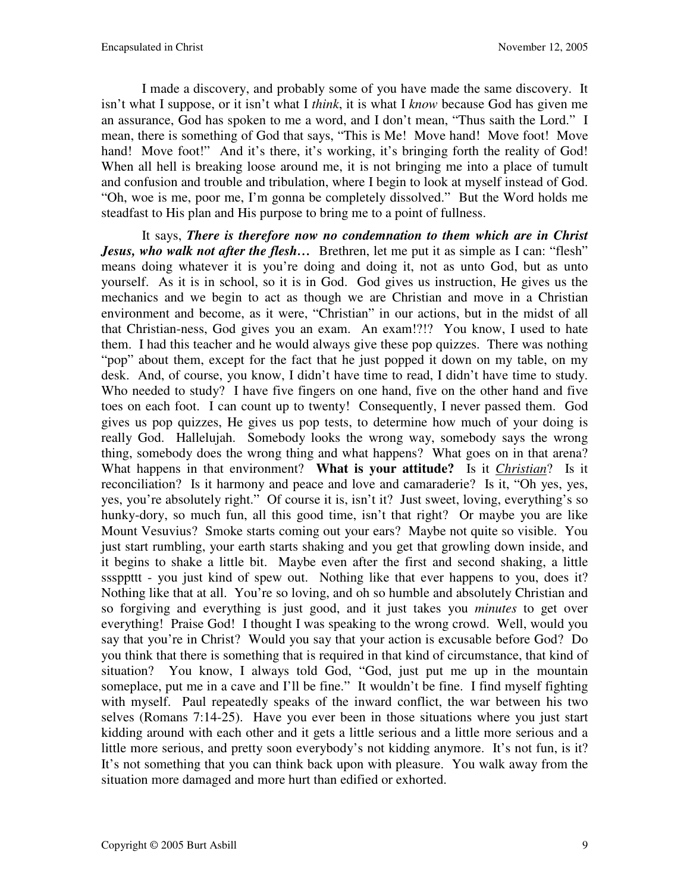I made a discovery, and probably some of you have made the same discovery. It isn't what I suppose, or it isn't what I *think*, it is what I *know* because God has given me an assurance, God has spoken to me a word, and I don't mean, "Thus saith the Lord." I mean, there is something of God that says, "This is Me! Move hand! Move foot! Move hand! Move foot!" And it's there, it's working, it's bringing forth the reality of God! When all hell is breaking loose around me, it is not bringing me into a place of tumult and confusion and trouble and tribulation, where I begin to look at myself instead of God. "Oh, woe is me, poor me, I'm gonna be completely dissolved." But the Word holds me steadfast to His plan and His purpose to bring me to a point of fullness.

It says, *There is therefore now no condemnation to them which are in Christ Jesus, who walk not after the flesh...* Brethren, let me put it as simple as I can: "flesh" means doing whatever it is you're doing and doing it, not as unto God, but as unto yourself. As it is in school, so it is in God. God gives us instruction, He gives us the mechanics and we begin to act as though we are Christian and move in a Christian environment and become, as it were, "Christian" in our actions, but in the midst of all that Christian-ness, God gives you an exam. An exam!?!? You know, I used to hate them. I had this teacher and he would always give these pop quizzes. There was nothing "pop" about them, except for the fact that he just popped it down on my table, on my desk. And, of course, you know, I didn't have time to read, I didn't have time to study. Who needed to study? I have five fingers on one hand, five on the other hand and five toes on each foot. I can count up to twenty! Consequently, I never passed them. God gives us pop quizzes, He gives us pop tests, to determine how much of your doing is really God. Hallelujah. Somebody looks the wrong way, somebody says the wrong thing, somebody does the wrong thing and what happens? What goes on in that arena? What happens in that environment? **What is your attitude?** Is it *Christian*? Is it reconciliation? Is it harmony and peace and love and camaraderie? Is it, "Oh yes, yes, yes, you're absolutely right." Of course it is, isn't it? Just sweet, loving, everything's so hunky-dory, so much fun, all this good time, isn't that right? Or maybe you are like Mount Vesuvius? Smoke starts coming out your ears? Maybe not quite so visible. You just start rumbling, your earth starts shaking and you get that growling down inside, and it begins to shake a little bit. Maybe even after the first and second shaking, a little sssppttt - you just kind of spew out. Nothing like that ever happens to you, does it? Nothing like that at all. You're so loving, and oh so humble and absolutely Christian and so forgiving and everything is just good, and it just takes you *minutes* to get over everything! Praise God! I thought I was speaking to the wrong crowd. Well, would you say that you're in Christ? Would you say that your action is excusable before God? Do you think that there is something that is required in that kind of circumstance, that kind of situation? You know, I always told God, "God, just put me up in the mountain someplace, put me in a cave and I'll be fine." It wouldn't be fine. I find myself fighting with myself. Paul repeatedly speaks of the inward conflict, the war between his two selves (Romans 7:14-25). Have you ever been in those situations where you just start kidding around with each other and it gets a little serious and a little more serious and a little more serious, and pretty soon everybody's not kidding anymore. It's not fun, is it? It's not something that you can think back upon with pleasure. You walk away from the situation more damaged and more hurt than edified or exhorted.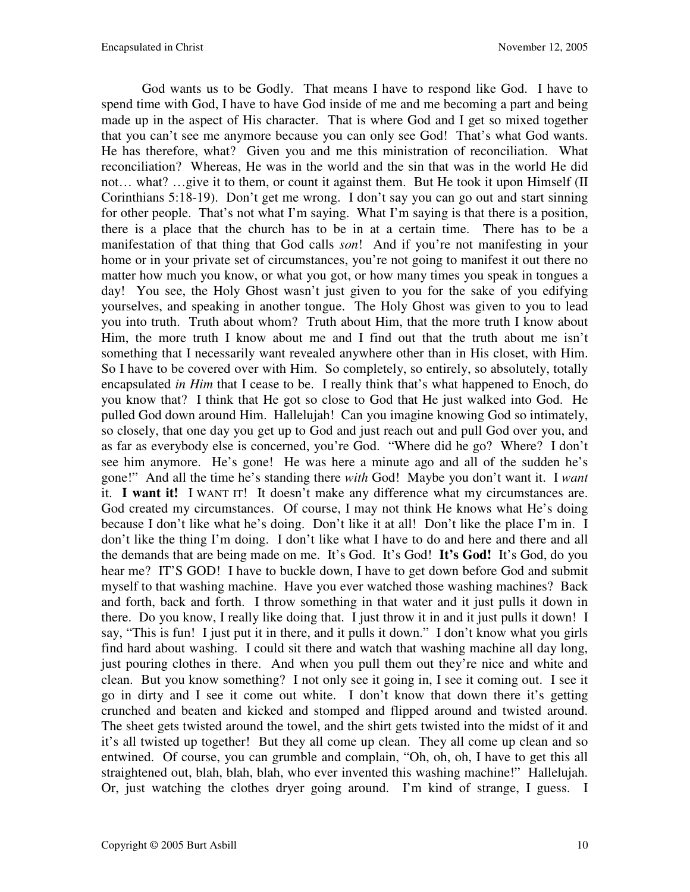God wants us to be Godly. That means I have to respond like God. I have to spend time with God, I have to have God inside of me and me becoming a part and being made up in the aspect of His character. That is where God and I get so mixed together that you can't see me anymore because you can only see God! That's what God wants. He has therefore, what? Given you and me this ministration of reconciliation. What reconciliation? Whereas, He was in the world and the sin that was in the world He did not… what? …give it to them, or count it against them. But He took it upon Himself (II Corinthians 5:18-19). Don't get me wrong. I don't say you can go out and start sinning for other people. That's not what I'm saying. What I'm saying is that there is a position, there is a place that the church has to be in at a certain time. There has to be a manifestation of that thing that God calls *son*! And if you're not manifesting in your home or in your private set of circumstances, you're not going to manifest it out there no matter how much you know, or what you got, or how many times you speak in tongues a day! You see, the Holy Ghost wasn't just given to you for the sake of you edifying yourselves, and speaking in another tongue. The Holy Ghost was given to you to lead you into truth. Truth about whom? Truth about Him, that the more truth I know about Him, the more truth I know about me and I find out that the truth about me isn't something that I necessarily want revealed anywhere other than in His closet, with Him. So I have to be covered over with Him. So completely, so entirely, so absolutely, totally encapsulated *in Him* that I cease to be. I really think that's what happened to Enoch, do you know that? I think that He got so close to God that He just walked into God. He pulled God down around Him. Hallelujah! Can you imagine knowing God so intimately, so closely, that one day you get up to God and just reach out and pull God over you, and as far as everybody else is concerned, you're God. "Where did he go? Where? I don't see him anymore. He's gone! He was here a minute ago and all of the sudden he's gone!" And all the time he's standing there *with* God! Maybe you don't want it. I *want* it. **I want it!** I WANT IT! It doesn't make any difference what my circumstances are. God created my circumstances. Of course, I may not think He knows what He's doing because I don't like what he's doing. Don't like it at all! Don't like the place I'm in. I don't like the thing I'm doing. I don't like what I have to do and here and there and all the demands that are being made on me. It's God. It's God! **It's God!** It's God, do you hear me? IT'S GOD! I have to buckle down, I have to get down before God and submit myself to that washing machine. Have you ever watched those washing machines? Back and forth, back and forth. I throw something in that water and it just pulls it down in there. Do you know, I really like doing that. I just throw it in and it just pulls it down! I say, "This is fun! I just put it in there, and it pulls it down." I don't know what you girls find hard about washing. I could sit there and watch that washing machine all day long, just pouring clothes in there. And when you pull them out they're nice and white and clean. But you know something? I not only see it going in, I see it coming out. I see it go in dirty and I see it come out white. I don't know that down there it's getting crunched and beaten and kicked and stomped and flipped around and twisted around. The sheet gets twisted around the towel, and the shirt gets twisted into the midst of it and it's all twisted up together! But they all come up clean. They all come up clean and so entwined. Of course, you can grumble and complain, "Oh, oh, oh, I have to get this all straightened out, blah, blah, blah, who ever invented this washing machine!" Hallelujah. Or, just watching the clothes dryer going around. I'm kind of strange, I guess. I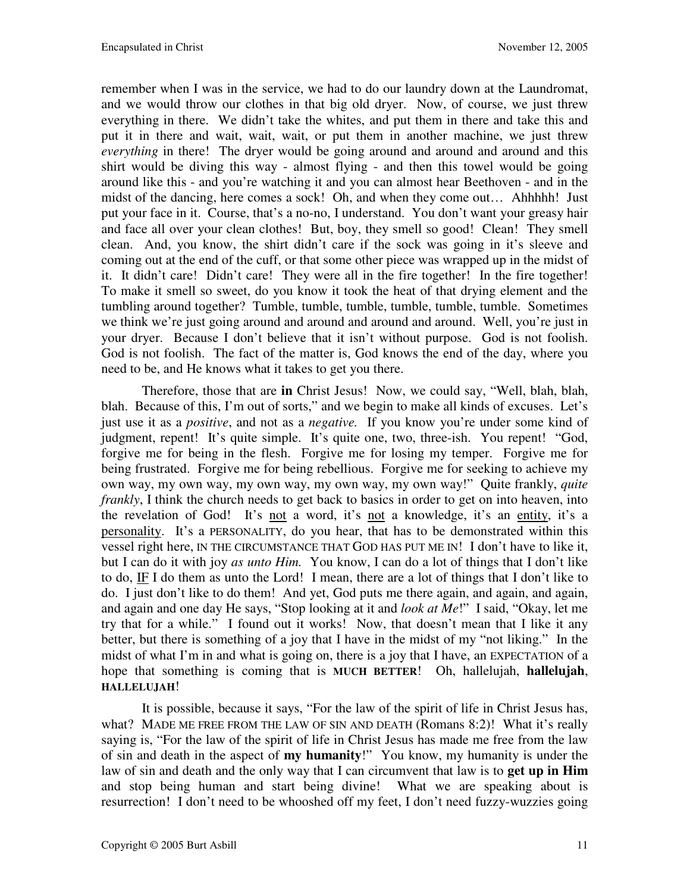remember when I was in the service, we had to do our laundry down at the Laundromat, and we would throw our clothes in that big old dryer. Now, of course, we just threw everything in there. We didn't take the whites, and put them in there and take this and put it in there and wait, wait, wait, or put them in another machine, we just threw *everything* in there! The dryer would be going around and around and around and this shirt would be diving this way - almost flying - and then this towel would be going around like this - and you're watching it and you can almost hear Beethoven - and in the midst of the dancing, here comes a sock! Oh, and when they come out… Ahhhhh! Just put your face in it. Course, that's a no-no, I understand. You don't want your greasy hair and face all over your clean clothes! But, boy, they smell so good! Clean! They smell clean. And, you know, the shirt didn't care if the sock was going in it's sleeve and coming out at the end of the cuff, or that some other piece was wrapped up in the midst of it. It didn't care! Didn't care! They were all in the fire together! In the fire together! To make it smell so sweet, do you know it took the heat of that drying element and the tumbling around together? Tumble, tumble, tumble, tumble, tumble, tumble. Sometimes we think we're just going around and around and around and around. Well, you're just in your dryer. Because I don't believe that it isn't without purpose. God is not foolish. God is not foolish. The fact of the matter is, God knows the end of the day, where you need to be, and He knows what it takes to get you there.

Therefore, those that are **in** Christ Jesus! Now, we could say, "Well, blah, blah, blah. Because of this, I'm out of sorts," and we begin to make all kinds of excuses. Let's just use it as a *positive*, and not as a *negative.* If you know you're under some kind of judgment, repent! It's quite simple. It's quite one, two, three-ish. You repent! "God, forgive me for being in the flesh. Forgive me for losing my temper. Forgive me for being frustrated. Forgive me for being rebellious. Forgive me for seeking to achieve my own way, my own way, my own way, my own way, my own way!" Quite frankly, *quite frankly*, I think the church needs to get back to basics in order to get on into heaven, into the revelation of God! It's not a word, it's not a knowledge, it's an entity, it's a personality. It's a PERSONALITY, do you hear, that has to be demonstrated within this vessel right here, IN THE CIRCUMSTANCE THAT GOD HAS PUT ME IN! I don't have to like it, but I can do it with joy *as unto Him.* You know, I can do a lot of things that I don't like to do, IF I do them as unto the Lord! I mean, there are a lot of things that I don't like to do. I just don't like to do them! And yet, God puts me there again, and again, and again, and again and one day He says, "Stop looking at it and *look at Me*!" I said, "Okay, let me try that for a while." I found out it works! Now, that doesn't mean that I like it any better, but there is something of a joy that I have in the midst of my "not liking." In the midst of what I'm in and what is going on, there is a joy that I have, an EXPECTATION of a hope that something is coming that is **MUCH BETTER**! Oh, hallelujah, **hallelujah**, **HALLELUJAH**!

It is possible, because it says, "For the law of the spirit of life in Christ Jesus has, what? MADE ME FREE FROM THE LAW OF SIN AND DEATH (Romans 8:2)! What it's really saying is, "For the law of the spirit of life in Christ Jesus has made me free from the law of sin and death in the aspect of **my humanity**!" You know, my humanity is under the law of sin and death and the only way that I can circumvent that law is to **get up in Him** and stop being human and start being divine! What we are speaking about is resurrection! I don't need to be whooshed off my feet, I don't need fuzzy-wuzzies going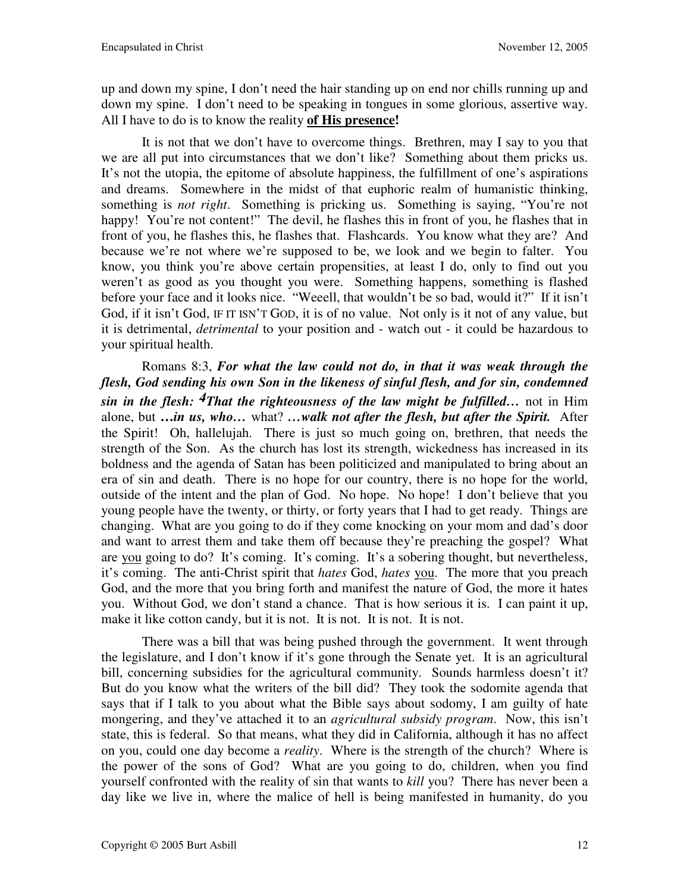up and down my spine, I don't need the hair standing up on end nor chills running up and down my spine. I don't need to be speaking in tongues in some glorious, assertive way. All I have to do is to know the reality **of His presence!** 

It is not that we don't have to overcome things. Brethren, may I say to you that we are all put into circumstances that we don't like? Something about them pricks us. It's not the utopia, the epitome of absolute happiness, the fulfillment of one's aspirations and dreams. Somewhere in the midst of that euphoric realm of humanistic thinking, something is *not right*. Something is pricking us. Something is saying, "You're not happy! You're not content!" The devil, he flashes this in front of you, he flashes that in front of you, he flashes this, he flashes that. Flashcards. You know what they are? And because we're not where we're supposed to be, we look and we begin to falter. You know, you think you're above certain propensities, at least I do, only to find out you weren't as good as you thought you were. Something happens, something is flashed before your face and it looks nice. "Weeell, that wouldn't be so bad, would it?" If it isn't God, if it isn't God, IF IT ISN'T GOD, it is of no value. Not only is it not of any value, but it is detrimental, *detrimental* to your position and - watch out - it could be hazardous to your spiritual health.

Romans 8:3, *For what the law could not do, in that it was weak through the flesh, God sending his own Son in the likeness of sinful flesh, and for sin, condemned sin in the flesh: 4That the righteousness of the law might be fulfilled…* not in Him alone, but **…***in us, who…* what? *…walk not after the flesh, but after the Spirit.* After the Spirit! Oh, hallelujah. There is just so much going on, brethren, that needs the strength of the Son. As the church has lost its strength, wickedness has increased in its boldness and the agenda of Satan has been politicized and manipulated to bring about an era of sin and death. There is no hope for our country, there is no hope for the world, outside of the intent and the plan of God. No hope. No hope! I don't believe that you young people have the twenty, or thirty, or forty years that I had to get ready. Things are changing. What are you going to do if they come knocking on your mom and dad's door and want to arrest them and take them off because they're preaching the gospel? What are you going to do? It's coming. It's coming. It's a sobering thought, but nevertheless, it's coming. The anti-Christ spirit that *hates* God, *hates* you. The more that you preach God, and the more that you bring forth and manifest the nature of God, the more it hates you. Without God, we don't stand a chance. That is how serious it is. I can paint it up, make it like cotton candy, but it is not. It is not. It is not. It is not.

There was a bill that was being pushed through the government. It went through the legislature, and I don't know if it's gone through the Senate yet. It is an agricultural bill, concerning subsidies for the agricultural community. Sounds harmless doesn't it? But do you know what the writers of the bill did? They took the sodomite agenda that says that if I talk to you about what the Bible says about sodomy, I am guilty of hate mongering, and they've attached it to an *agricultural subsidy program*. Now, this isn't state, this is federal. So that means, what they did in California, although it has no affect on you, could one day become a *reality*. Where is the strength of the church? Where is the power of the sons of God? What are you going to do, children, when you find yourself confronted with the reality of sin that wants to *kill* you? There has never been a day like we live in, where the malice of hell is being manifested in humanity, do you